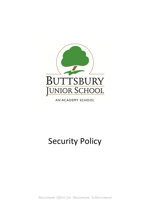

AN ACADEMY SCHOOL

# Security Policy

*Maximum Effort for Maximum Achievement*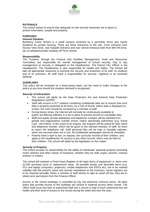

## **RATIONALE**

The school wishes to ensure that adequate on-site security measures are in place to protect information, people and property.

# **PURPOSES**

# *General Situation*

Buttsbury Junior School is a small campus enclosed by a perimeter fence and mainly bordered by private housing. There are three entrances to the site: Front entrance from Norsey View Drive, rear footpath entrance and rear vehicle entrance both from Mill Hill Drive. (an un-adopted private roadway off Perry Street).

#### *Responsibility*

The Trustees, through the Finance and Facilities Management, Audit and Resources Committee, are responsible for overall management of school security. Day to day management of security is delegated to the Headteacher. The School Fire Officer is the Headteacher. The Headteacher is also responsible for Health and Safety. The School will take all appropriate measures to promote the security and protection of its staff, its students and of its premises. All staff have a responsibility for security. Vigilance is an essential attribute.

#### **GUIDELINES**

This policy will be reviewed on a three-yearly basis, but the need to make changes to the policy at any time should the situation demand is recognised.

#### *Security of Information*

- The school will abide by the Data Protection Act and General Data Protection Regulations (GDPR).
- Staff with access to ICT systems containing confidential data are to ensure that such data is properly protected at all times. As a rule of thumb, where data is displayed on screen, the room should be occupied by a member of staff.
- During lesson times, the internet will normally be continuously available to pupils, but filtering software is to be in place to prevent access to unsuitable sites.
- Staff and pupils' private addresses and telephone numbers will be withheld from people and organisations outside school, unless specifically authorised, (e.g. Social Care , the Police). In the event of an enquiry, the enquirer will be asked for their name and telephone number, which will be given to the relevant member of staff, for them to return the telephone call. Staff personal files will be kept in lockable cabinets, which are secured when not in use. All confidential wastepaper should be shredded.
- Parents have a right to see, on request, the curricular records of their children, and apply to the Headteacher for access to any other records, which may be held on their children. The school will abide by the legislation on this matter.

#### *Security of Property*

The school accepts no responsibility for the safety of individuals' personal property (including motor vehicles and other means of transport), whether they be staff, pupils, parents, contract workers or visitors.

The school will maintain a Fixed Asset Register of all major items of equipment i.e. items over £2,500 purchase price or replacement value. All portable assets and desirable items (e.g. PCs and laptop computers, projectors, mobile telephones and DVD's etc). are to be marked indelibly with the school's name and records maintained on the Inventory Asset registers are to be checked annually. When a member of staff wishes to take an asset off site, they are to obtain prior permission from the Finance Officer.

Access to the school buildings is controlled by key fob electronic entrance doors. All other doors that provide access to the buildings are locked to external access when closed. The Office Staff issue key fobs to authorised staff and a record is kept of each authorised key fob holder and their level of access to the school during the week and over the year.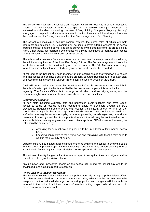

The school will maintain a security alarm system, which will report to a central monitoring station. The alarm system is to be set to give a local audible warning as soon as it is activated, and the alarm monitoring company. A 'Key Holding' Company (Regency Security) is engaged to respond to all alarm activations in the first instance, additional key holders are the Headteacher, 1 x Deputy Headteacher, the Site Manager and L & L Cleaning.

The school will maintain a security camera system, the prime roles of which are both deterrents and detection. CCTV cameras will be used to cover external aspects of the school grounds and key entrance points. The areas surveyed by the external cameras are to be lit at night. Other areas, not monitored by cameras will only be illuminated to facilitate safe access or may be covered by lights controlled by light sensors.

The school will maintain a fire alarm system and appropriate fire safety precautions following the advice and guidance of the local Fire Safety Officer. The fire alarm system will sound a local alarm but will not be monitored by an external agency. The Site Manager is to arrange for at least one call point to be tested every week and for the test to be recorded.

At the end of the School day each member of staff should ensure that windows are secure and that assets and desirable equipment are properly secured. Buildings are to be kept clear of materials that increase the risk from fire or might be used for Arson or Vandalism.

Cash will not normally be collected by the office staff. Cash is only to be stored overnight in the school's safe, up to the limits specified by the insurance company. It is to be banked regularly. The Finance Officer is to arrange for all alarm and security systems, and the emergency lighting arrangements to be properly serviced and maintained.

#### *Security of Personnel*

All new staff, including voluntary staff and peripatetic music teachers who have regular access to pupils or records, will be required to apply for disclosure through the DBS procedures. Regular contractors whose staff spends a significant amount of time on site, should also arrange for their staff to apply for DBS disclosure. The school is to ascertain that staff who have regular access to pupils, but are employed by outside agencies, have similar clearance. It is recognised that it is impractical to insist that all irregular contracted workers, such as builders, heating engineers, and electricians apply for DBS disclosure. However, the risk should be minimised by:

- Arranging for as much work as possible to be undertaken outside normal school hours.
- Escorting contractors to their workplace and remaining with them if they need to work in the proximity of pupils.

Suitable signs will be placed at all legitimate entrance points to the school to show the public that the school is private property and that causing a public nuisance on educational premises is a criminal offence. Signs to direct all visitors to Reception will also be erected.

All staff wear identity badges. All visitors are to report to reception; they must sign in and be issued with photographic visitor's badge.

Any unknown and unescorted people on the school site during the school day are to be challenged, and asked to report to reception.

#### *Police Liaison & Incident Recording*

The School maintains a close liaison with the police, normally through a police liaison officer. All offences committed on or around the school site, which involve assault, offensive weapons, theft or criminal damage not involving pupils, and burglary will invariably be reported to the police. In addition, reports of intruders acting suspiciously will also result in police assistance being sought.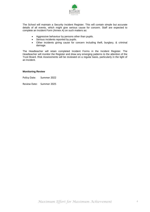

The School will maintain a Security Incident Register. This will contain simple but accurate details of all events, which might give serious cause for concern. Staff are expected to complete an Incident Form (Annex A) on such matters as:

- Aggressive behaviour by persons other than pupils.
- Serious incidents reported by pupils.
- Other incidents giving cause for concern including theft, burglary, & criminal damage.

The Headteacher will retain completed Incident Forms in the Incident Register. The Headteacher will monitor the Register and draw any emerging patterns to the attention of the Trust Board. Risk Assessments will be reviewed on a regular basis, particularly in the light of an Incident.

#### **Monitoring Review**

Policy Date: Summer 2022

Review Date: Summer 2025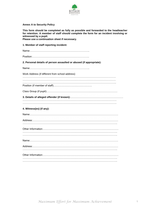

# **Annex A to Security Policy**

| This form should be completed as fully as possible and forwarded to the headteacher<br>for retention. A member of staff should complete the form for an incident involving or<br>witnessed by a pupil.<br>Please use a continuation sheet if necessary. |
|---------------------------------------------------------------------------------------------------------------------------------------------------------------------------------------------------------------------------------------------------------|
| 1. Member of staff reporting incident:                                                                                                                                                                                                                  |
|                                                                                                                                                                                                                                                         |
|                                                                                                                                                                                                                                                         |
| 2. Personal details of person assaulted or abused (if appropriate):                                                                                                                                                                                     |
|                                                                                                                                                                                                                                                         |
| Work Address (if different from school address)                                                                                                                                                                                                         |
|                                                                                                                                                                                                                                                         |
|                                                                                                                                                                                                                                                         |
|                                                                                                                                                                                                                                                         |
|                                                                                                                                                                                                                                                         |
| 4. Witness(es) (if any):                                                                                                                                                                                                                                |
|                                                                                                                                                                                                                                                         |
|                                                                                                                                                                                                                                                         |
|                                                                                                                                                                                                                                                         |
|                                                                                                                                                                                                                                                         |
|                                                                                                                                                                                                                                                         |
| Name:                                                                                                                                                                                                                                                   |
|                                                                                                                                                                                                                                                         |
|                                                                                                                                                                                                                                                         |
|                                                                                                                                                                                                                                                         |